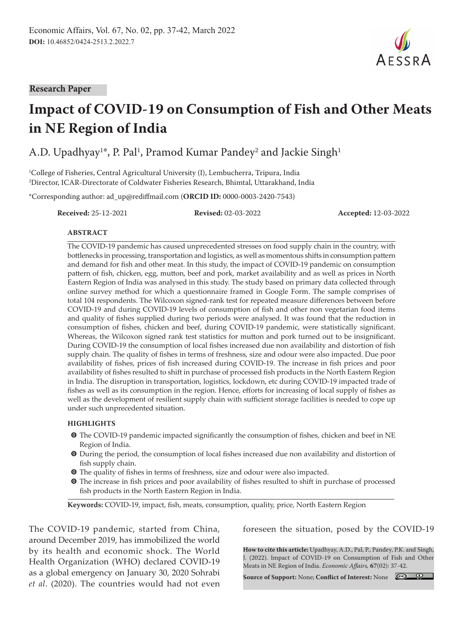#### **Research Paper**

# **Impact of COVID-19 on Consumption of Fish and Other Meats in NE Region of India**

A.D. Upadhyay $^{1*}$ , P. Pal $^{1}$ , Pramod Kumar Pandey $^{2}$  and Jackie Singh $^{1}$ 

1 College of Fisheries, Central Agricultural University (I), Lembucherra, Tripura, India 2 Director, ICAR-Directorate of Coldwater Fisheries Research, Bhimtal, Uttarakhand, India

\*Corresponding author: ad\_up@rediffmail.com (**ORCID ID:** 0000-0003-2420-7543)

**Received:** 25-12-2021 **Revised:** 02-03-2022 **Accepted:** 12-03-2022

 $A$   $F$   $S$   $S$   $R$   $A$ 

#### **ABSTRACT**

The COVID-19 pandemic has caused unprecedented stresses on food supply chain in the country, with bottlenecks in processing, transportation and logistics, as well as momentous shifts in consumption pattern and demand for fish and other meat. In this study, the impact of COVID-19 pandemic on consumption pattern of fish, chicken, egg, mutton, beef and pork, market availability and as well as prices in North Eastern Region of India was analysed in this study. The study based on primary data collected through online survey method for which a questionnaire framed in Google Form. The sample comprises of total 104 respondents. The Wilcoxon signed-rank test for repeated measure differences between before COVID-19 and during COVID-19 levels of consumption of fish and other non vegetarian food items and quality of fishes supplied during two periods were analysed. It was found that the reduction in consumption of fishes, chicken and beef, during COVID-19 pandemic, were statistically significant. Whereas, the Wilcoxon signed rank test statistics for mutton and pork turned out to be insignificant. During COVID-19 the consumption of local fishes increased due non availability and distortion of fish supply chain. The quality of fishes in terms of freshness, size and odour were also impacted. Due poor availability of fishes, prices of fish increased during COVID-19. The increase in fish prices and poor availability of fishes resulted to shift in purchase of processed fish products in the North Eastern Region in India. The disruption in transportation, logistics, lockdown, etc during COVID-19 impacted trade of fishes as well as its consumption in the region. Hence, efforts for increasing of local supply of fishes as well as the development of resilient supply chain with sufficient storage facilities is needed to cope up under such unprecedented situation.

#### **HIGHLIGHTS**

- $\odot$  The COVID-19 pandemic impacted significantly the consumption of fishes, chicken and beef in NE Region of India.
- $\odot$  During the period, the consumption of local fishes increased due non availability and distortion of fish supply chain.
- **O** The quality of fishes in terms of freshness, size and odour were also impacted.
- $\bullet$  The increase in fish prices and poor availability of fishes resulted to shift in purchase of processed fish products in the North Eastern Region in India.

**Keywords:** COVID-19, impact, fish, meats, consumption, quality, price, North Eastern Region

The COVID-19 pandemic, started from China, around December 2019, has immobilized the world by its health and economic shock. The World Health Organization (WHO) declared COVID-19 as a global emergency on January 30, 2020 Sohrabi *et al*. (2020). The countries would had not even

foreseen the situation, posed by the COVID-19

**How to cite this article:** Upadhyay, A.D., Pal, P., Pandey, P.K. and Singh, J. (2022). Impact of COVID-19 on Consumption of Fish and Other Meats in NE Region of India. *Economic Affairs,* **67**(02): 37-42.

**Source of Support:** None; **Conflict of Interest:** None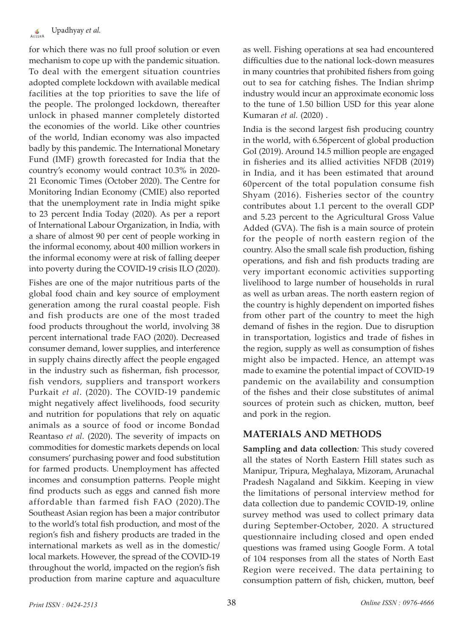for which there was no full proof solution or even mechanism to cope up with the pandemic situation. To deal with the emergent situation countries adopted complete lockdown with available medical facilities at the top priorities to save the life of the people. The prolonged lockdown, thereafter unlock in phased manner completely distorted the economies of the world. Like other countries of the world, Indian economy was also impacted badly by this pandemic. The International Monetary Fund (IMF) growth forecasted for India that the country's economy would contract 10.3% in 2020- 21 Economic Times (October 2020). The Centre for Monitoring Indian Economy (CMIE) also reported that the unemployment rate in India might spike to 23 percent India Today (2020). As per a report of International Labour Organization, in India, with a share of almost 90 per cent of people working in the informal economy, about 400 million workers in the informal economy were at risk of falling deeper into poverty during the COVID-19 crisis ILO (2020).

Fishes are one of the major nutritious parts of the global food chain and key source of employment generation among the rural coastal people. Fish and fish products are one of the most traded food products throughout the world, involving 38 percent international trade FAO (2020). Decreased consumer demand, lower supplies, and interference in supply chains directly affect the people engaged in the industry such as fisherman, fish processor, fish vendors, suppliers and transport workers Purkait *et al*. (2020). The COVID-19 pandemic might negatively affect livelihoods, food security and nutrition for populations that rely on aquatic animals as a source of food or income Bondad Reantaso *et al.* (2020). The severity of impacts on commodities for domestic markets depends on local consumers' purchasing power and food substitution for farmed products. Unemployment has affected incomes and consumption patterns. People might find products such as eggs and canned fish more affordable than farmed fish FAO (2020).The Southeast Asian region has been a major contributor to the world's total fish production, and most of the region's fish and fishery products are traded in the international markets as well as in the domestic/ local markets. However, the spread of the COVID-19 throughout the world, impacted on the region's fish production from marine capture and aquaculture

as well. Fishing operations at sea had encountered difficulties due to the national lock-down measures in many countries that prohibited fishers from going out to sea for catching fishes. The Indian shrimp industry would incur an approximate economic loss to the tune of 1.50 billion USD for this year alone Kumaran *et al.* (2020) .

India is the second largest fish producing country in the world, with 6.56percent of global production GoI (2019). Around 14.5 million people are engaged in fisheries and its allied activities NFDB (2019) in India, and it has been estimated that around 60percent of the total population consume fish Shyam (2016). Fisheries sector of the country contributes about 1.1 percent to the overall GDP and 5.23 percent to the Agricultural Gross Value Added (GVA). The fish is a main source of protein for the people of north eastern region of the country. Also the small scale fish production, fishing operations, and fish and fish products trading are very important economic activities supporting livelihood to large number of households in rural as well as urban areas. The north eastern region of the country is highly dependent on imported fishes from other part of the country to meet the high demand of fishes in the region. Due to disruption in transportation, logistics and trade of fishes in the region, supply as well as consumption of fishes might also be impacted. Hence, an attempt was made to examine the potential impact of COVID-19 pandemic on the availability and consumption of the fishes and their close substitutes of animal sources of protein such as chicken, mutton, beef and pork in the region.

# **MATERIALS AND METHODS**

**Sampling and data collection***:* This study covered all the states of North Eastern Hill states such as Manipur, Tripura, Meghalaya, Mizoram, Arunachal Pradesh Nagaland and Sikkim. Keeping in view the limitations of personal interview method for data collection due to pandemic COVID-19, online survey method was used to collect primary data during September-October, 2020. A structured questionnaire including closed and open ended questions was framed using Google Form. A total of 104 responses from all the states of North East Region were received. The data pertaining to consumption pattern of fish, chicken, mutton, beef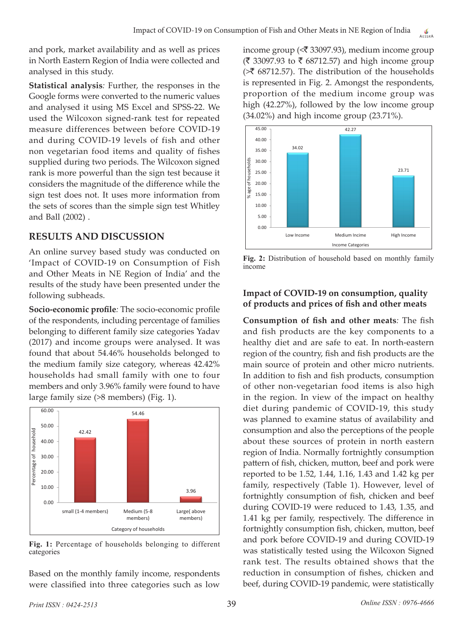and pork, market availability and as well as prices in North Eastern Region of India were collected and analysed in this study.

**Statistical analysis***:* Further, the responses in the Google forms were converted to the numeric values and analysed it using MS Excel and SPSS-22. We used the Wilcoxon signed-rank test for repeated measure differences between before COVID-19 and during COVID-19 levels of fish and other non vegetarian food items and quality of fishes supplied during two periods. The Wilcoxon signed rank is more powerful than the sign test because it considers the magnitude of the difference while the sign test does not. It uses more information from the sets of scores than the simple sign test Whitley and Ball (2002) .

# **RESULTS AND DISCUSSION**

An online survey based study was conducted on 'Impact of COVID-19 on Consumption of Fish and Other Meats in NE Region of India' and the results of the study have been presented under the following subheads.

**Socio-economic profile***:* The socio-economic profile of the respondents, including percentage of families belonging to different family size categories Yadav (2017) and income groups were analysed. It was found that about 54.46% households belonged to the medium family size category, whereas 42.42% households had small family with one to four members and only 3.96% family were found to have large family size (>8 members) (Fig. 1).



**Fig. 1:** Percentage of households belonging to different categories

Based on the monthly family income, respondents were classified into three categories such as low

income group ( $\langle \bar{\mathfrak{F}}$  33097.93), medium income group (₹ 33097.93 to ₹ 68712.57) and high income group  $\approx$  68712.57). The distribution of the households is represented in Fig. 2. Amongst the respondents, proportion of the medium income group was high (42.27%), followed by the low income group (34.02%) and high income group (23.71%).



**Fig. 2:** Distribution of household based on monthly family income

## **Impact of COVID-19 on consumption, quality of products and prices of fish and other meats**

**Consumption of fish and other meats***:* The fish and fish products are the key components to a healthy diet and are safe to eat. In north-eastern region of the country, fish and fish products are the main source of protein and other micro nutrients. In addition to fish and fish products, consumption of other non-vegetarian food items is also high in the region. In view of the impact on healthy diet during pandemic of COVID-19, this study was planned to examine status of availability and consumption and also the perceptions of the people about these sources of protein in north eastern region of India. Normally fortnightly consumption pattern of fish, chicken, mutton, beef and pork were reported to be 1.52, 1.44, 1.16, 1.43 and 1.42 kg per family, respectively (Table 1). However, level of fortnightly consumption of fish, chicken and beef during COVID-19 were reduced to 1.43, 1.35, and 1.41 kg per family, respectively. The difference in fortnightly consumption fish, chicken, mutton, beef and pork before COVID-19 and during COVID-19 was statistically tested using the Wilcoxon Signed rank test. The results obtained shows that the reduction in consumption of fishes, chicken and beef, during COVID-19 pandemic, were statistically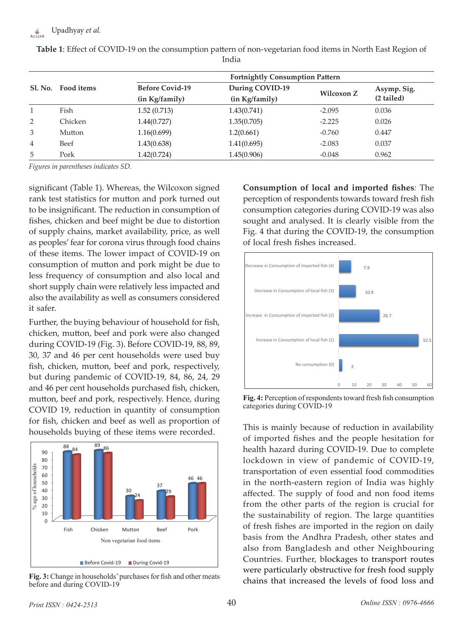|                | Food items | <b>Fortnightly Consumption Pattern</b>   |                                   |                   |                           |  |
|----------------|------------|------------------------------------------|-----------------------------------|-------------------|---------------------------|--|
| <b>Sl. No.</b> |            | <b>Before Covid-19</b><br>(in Kg/family) | During COVID-19<br>(in Kg/family) | <b>Wilcoxon Z</b> | Asymp. Sig.<br>(2 tailed) |  |
|                | Fish       | 1.52(0.713)                              | 1.43(0.741)                       | $-2.095$          | 0.036                     |  |
| 2              | Chicken    | 1.44(0.727)                              | 1.35(0.705)                       | $-2.225$          | 0.026                     |  |
| 3              | Mutton     | 1.16(0.699)                              | 1.2(0.661)                        | $-0.760$          | 0.447                     |  |
| 4              | Beef       | 1.43(0.638)                              | 1.41(0.695)                       | $-2.083$          | 0.037                     |  |
| 5              | Pork       | 1.42(0.724)                              | 1.45(0.906)                       | $-0.048$          | 0.962                     |  |

**Table 1**: Effect of COVID-19 on the consumption pattern of non-vegetarian food items in North East Region of India

*Figures in parentheses indicates SD.*

significant (Table 1). Whereas, the Wilcoxon signed rank test statistics for mutton and pork turned out to be insignificant. The reduction in consumption of fishes, chicken and beef might be due to distortion of supply chains, market availability, price, as well as peoples' fear for corona virus through food chains of these items. The lower impact of COVID-19 on consumption of mutton and pork might be due to less frequency of consumption and also local and short supply chain were relatively less impacted and also the availability as well as consumers considered it safer.

Further, the buying behaviour of household for fish, chicken, mutton, beef and pork were also changed during COVID-19 (Fig. 3). Before COVID-19, 88, 89, 30, 37 and 46 per cent households were used buy fish, chicken, mutton, beef and pork, respectively, but during pandemic of COVID-19, 84, 86, 24, 29 and 46 per cent households purchased fish, chicken, mutton, beef and pork, respectively. Hence, during COVID 19, reduction in quantity of consumption for fish, chicken and beef as well as proportion of households buying of these items were recorded.



**Fig. 3:** Change in households' purchases for fish and other meats before and during COVID-19

**Consumption of local and imported fishes***:* The perception of respondents towards toward fresh fish consumption categories during COVID-19 was also sought and analysed. It is clearly visible from the Fig. 4 that during the COVID-19, the consumption of local fresh fishes increased.



**Fig. 4:** Perception of respondents toward fresh fish consumption categories during COVID-19

This is mainly because of reduction in availability of imported fishes and the people hesitation for health hazard during COVID-19. Due to complete lockdown in view of pandemic of COVID-19, transportation of even essential food commodities in the north-eastern region of India was highly affected. The supply of food and non food items from the other parts of the region is crucial for the sustainability of region. The large quantities of fresh fishes are imported in the region on daily basis from the Andhra Pradesh, other states and also from Bangladesh and other Neighbouring Countries. Further, blockages to transport routes were particularly obstructive for fresh food supply chains that increased the levels of food loss and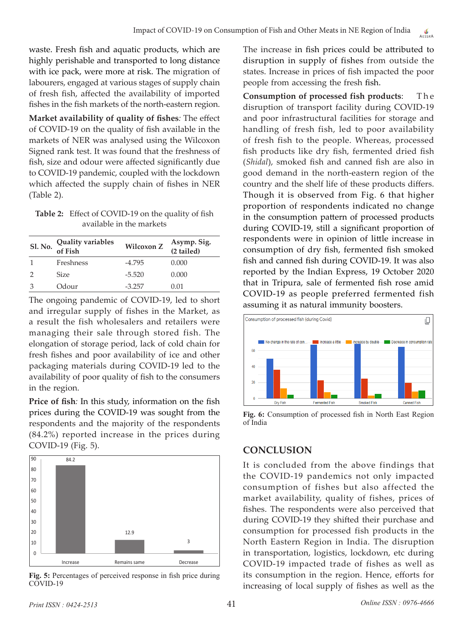waste. Fresh fish and aquatic products, which are highly perishable and transported to long distance with ice pack, were more at risk. The migration of labourers, engaged at various stages of supply chain of fresh fish, affected the availability of imported fishes in the fish markets of the north-eastern region.

**Market availability of quality of fishes***:* The effect of COVID-19 on the quality of fish available in the markets of NER was analysed using the Wilcoxon Signed rank test. It was found that the freshness of fish, size and odour were affected significantly due to COVID-19 pandemic, coupled with the lockdown which affected the supply chain of fishes in NER (Table 2).

**Table 2:** Effect of COVID-19 on the quality of fish available in the markets

| Sl. No. Quality variables<br>of Fish | Wilcoxon Z | Asymp. Sig.<br>(2 tailed) |
|--------------------------------------|------------|---------------------------|
| Freshness                            | $-4.795$   | 0.000                     |
| <b>Size</b>                          | $-5.520$   | 0.000                     |
| Odour                                | $-3.257$   | 0.01                      |

The ongoing pandemic of COVID-19, led to short and irregular supply of fishes in the Market, as a result the fish wholesalers and retailers were managing their sale through stored fish. The elongation of storage period, lack of cold chain for fresh fishes and poor availability of ice and other packaging materials during COVID-19 led to the availability of poor quality of fish to the consumers in the region.

**Price of fish***:* In this study, information on the fish prices during the COVID-19 was sought from the respondents and the majority of the respondents (84.2%) reported increase in the prices during COVID-19 (Fig. 5).



**Fig. 5:** Percentages of perceived response in fish price during COVID-19

The increase in fish prices could be attributed to disruption in supply of fishes from outside the states. Increase in prices of fish impacted the poor people from accessing the fresh fish.

**Consumption of processed fish products:** The disruption of transport facility during COVID-19 and poor infrastructural facilities for storage and handling of fresh fish, led to poor availability of fresh fish to the people. Whereas, processed fish products like dry fish, fermented dried fish (*Shidal*), smoked fish and canned fish are also in good demand in the north-eastern region of the country and the shelf life of these products differs. Though it is observed from Fig. 6 that higher proportion of respondents indicated no change in the consumption pattern of processed products during COVID-19, still a significant proportion of respondents were in opinion of little increase in consumption of dry fish, fermented fish smoked fish and canned fish during COVID-19. It was also reported by the Indian Express, 19 October 2020 that in Tripura, sale of fermented fish rose amid COVID-19 as people preferred fermented fish assuming it as natural immunity boosters.



**Fig. 6:** Consumption of processed fish in North East Region of India

# **CONCLUSION**

It is concluded from the above findings that the COVID-19 pandemics not only impacted consumption of fishes but also affected the market availability, quality of fishes, prices of fishes. The respondents were also perceived that during COVID-19 they shifted their purchase and consumption for processed fish products in the North Eastern Region in India. The disruption in transportation, logistics, lockdown, etc during COVID-19 impacted trade of fishes as well as its consumption in the region. Hence, efforts for increasing of local supply of fishes as well as the